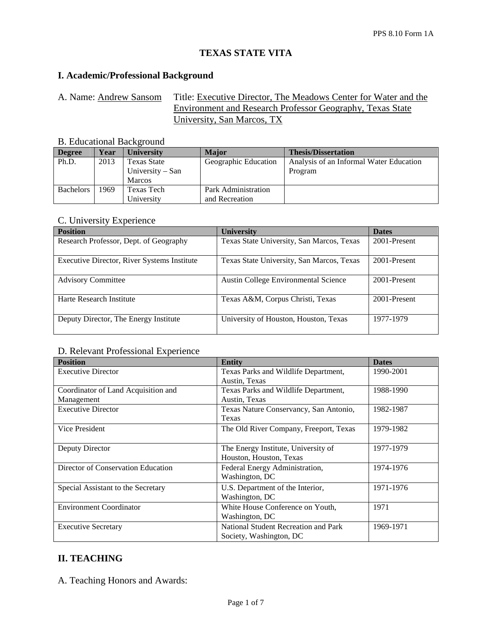# **TEXAS STATE VITA**

### **I. Academic/Professional Background**

A. Name: Andrew Sansom Title: Executive Director, The Meadows Center for Water and the Environment and Research Professor Geography, Texas State University, San Marcos, TX

## B. Educational Background

| <b>Degree</b>    | Year | <b>University</b>  | <b>Major</b>         | <b>Thesis/Dissertation</b>              |
|------------------|------|--------------------|----------------------|-----------------------------------------|
| Ph.D.            | 2013 | <b>Texas State</b> | Geographic Education | Analysis of an Informal Water Education |
|                  |      | University – San   |                      | Program                                 |
|                  |      | <b>Marcos</b>      |                      |                                         |
| <b>Bachelors</b> | 1969 | Texas Tech         | Park Administration  |                                         |
|                  |      | University         | and Recreation       |                                         |

#### C. University Experience

| <b>Position</b>                             | <b>University</b>                         | <b>Dates</b> |
|---------------------------------------------|-------------------------------------------|--------------|
| Research Professor, Dept. of Geography      | Texas State University, San Marcos, Texas | 2001-Present |
| Executive Director, River Systems Institute | Texas State University, San Marcos, Texas | 2001-Present |
| <b>Advisory Committee</b>                   | Austin College Environmental Science      | 2001-Present |
| Harte Research Institute                    | Texas A&M, Corpus Christi, Texas          | 2001-Present |
| Deputy Director, The Energy Institute       | University of Houston, Houston, Texas     | 1977-1979    |

#### D. Relevant Professional Experience

| <b>Position</b>                     | <b>Entity</b>                          | <b>Dates</b> |
|-------------------------------------|----------------------------------------|--------------|
| <b>Executive Director</b>           | Texas Parks and Wildlife Department,   | 1990-2001    |
|                                     | Austin, Texas                          |              |
| Coordinator of Land Acquisition and | Texas Parks and Wildlife Department,   | 1988-1990    |
| Management                          | Austin, Texas                          |              |
| <b>Executive Director</b>           | Texas Nature Conservancy, San Antonio, | 1982-1987    |
|                                     | Texas                                  |              |
| Vice President                      | The Old River Company, Freeport, Texas | 1979-1982    |
|                                     |                                        |              |
| Deputy Director                     | The Energy Institute, University of    | 1977-1979    |
|                                     | Houston, Houston, Texas                |              |
| Director of Conservation Education  | Federal Energy Administration,         | 1974-1976    |
|                                     | Washington, DC                         |              |
| Special Assistant to the Secretary  | U.S. Department of the Interior,       | 1971-1976    |
|                                     | Washington, DC                         |              |
| <b>Environment Coordinator</b>      | White House Conference on Youth,       | 1971         |
|                                     | Washington, DC                         |              |
| <b>Executive Secretary</b>          | National Student Recreation and Park   | 1969-1971    |
|                                     | Society, Washington, DC                |              |

## **II. TEACHING**

A. Teaching Honors and Awards: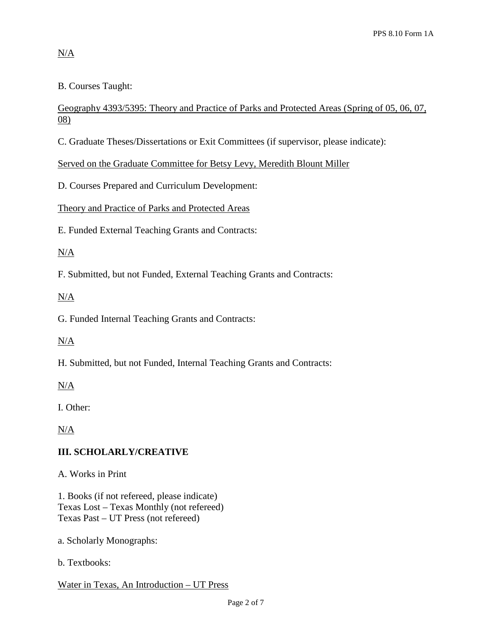# N/A

B. Courses Taught:

## Geography 4393/5395: Theory and Practice of Parks and Protected Areas (Spring of 05, 06, 07, 08)

C. Graduate Theses/Dissertations or Exit Committees (if supervisor, please indicate):

Served on the Graduate Committee for Betsy Levy, Meredith Blount Miller

D. Courses Prepared and Curriculum Development:

Theory and Practice of Parks and Protected Areas

E. Funded External Teaching Grants and Contracts:

## $N/A$

F. Submitted, but not Funded, External Teaching Grants and Contracts:

## $N/A$

G. Funded Internal Teaching Grants and Contracts:

# N/A

H. Submitted, but not Funded, Internal Teaching Grants and Contracts:

N/A

I. Other:

N/A

# **III. SCHOLARLY/CREATIVE**

A. Works in Print

1. Books (if not refereed, please indicate) Texas Lost – Texas Monthly (not refereed) Texas Past – UT Press (not refereed)

- a. Scholarly Monographs:
- b. Textbooks:

Water in Texas, An Introduction – UT Press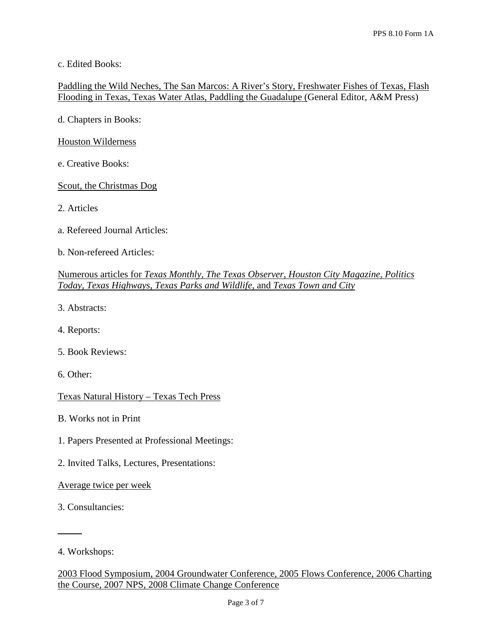c. Edited Books:

Paddling the Wild Neches, The San Marcos: A River's Story, Freshwater Fishes of Texas, Flash Flooding in Texas, Texas Water Atlas, Paddling the Guadalupe (General Editor, A&M Press)

d. Chapters in Books:

Houston Wilderness

e. Creative Books:

Scout, the Christmas Dog

- 2. Articles
- a. Refereed Journal Articles:
- b. Non-refereed Articles:

#### Numerous articles for *Texas Monthly, The Texas Observer, Houston City Magazine, Politics Today, Texas Highways, Texas Parks and Wildlife,* and *Texas Town and City*

- 3. Abstracts:
- 4. Reports:
- 5. Book Reviews:
- 6. Other:

Texas Natural History – Texas Tech Press

B. Works not in Print

- 1. Papers Presented at Professional Meetings:
- 2. Invited Talks, Lectures, Presentations:

Average twice per week

3. Consultancies:

 $\overline{a}$ 

<sup>4.</sup> Workshops: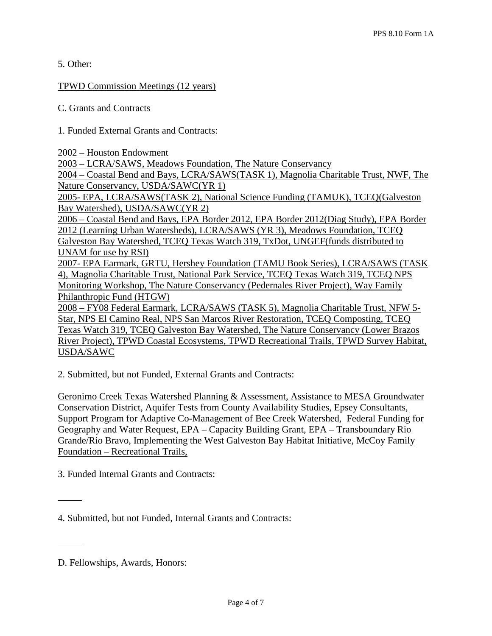5. Other:

#### TPWD Commission Meetings (12 years)

C. Grants and Contracts

1. Funded External Grants and Contracts:

2002 – Houston Endowment

2003 – LCRA/SAWS, Meadows Foundation, The Nature Conservancy

2004 – Coastal Bend and Bays, LCRA/SAWS(TASK 1), Magnolia Charitable Trust, NWF, The Nature Conservancy, USDA/SAWC(YR 1)

2005- EPA, LCRA/SAWS(TASK 2), National Science Funding (TAMUK), TCEQ(Galveston Bay Watershed), USDA/SAWC(YR 2)

2006 – Coastal Bend and Bays, EPA Border 2012, EPA Border 2012(Diag Study), EPA Border 2012 (Learning Urban Watersheds), LCRA/SAWS (YR 3), Meadows Foundation, TCEQ Galveston Bay Watershed, TCEQ Texas Watch 319, TxDot, UNGEF(funds distributed to UNAM for use by RSI)

2007- EPA Earmark, GRTU, Hershey Foundation (TAMU Book Series), LCRA/SAWS (TASK 4), Magnolia Charitable Trust, National Park Service, TCEQ Texas Watch 319, TCEQ NPS Monitoring Workshop, The Nature Conservancy (Pedernales River Project), Way Family Philanthropic Fund (HTGW)

2008 – FY08 Federal Earmark, LCRA/SAWS (TASK 5), Magnolia Charitable Trust, NFW 5- Star, NPS El Camino Real, NPS San Marcos River Restoration, TCEQ Composting, TCEQ Texas Watch 319, TCEQ Galveston Bay Watershed, The Nature Conservancy (Lower Brazos River Project), TPWD Coastal Ecosystems, TPWD Recreational Trails, TPWD Survey Habitat, USDA/SAWC

2. Submitted, but not Funded, External Grants and Contracts:

Geronimo Creek Texas Watershed Planning & Assessment, Assistance to MESA Groundwater Conservation District, Aquifer Tests from County Availability Studies, Epsey Consultants, Support Program for Adaptive Co-Management of Bee Creek Watershed, Federal Funding for Geography and Water Request, EPA – Capacity Building Grant, EPA – Transboundary Rio Grande/Rio Bravo, Implementing the West Galveston Bay Habitat Initiative, McCoy Family Foundation – Recreational Trails,

3. Funded Internal Grants and Contracts:

 $\overline{a}$ 

 $\overline{a}$ 

<sup>4.</sup> Submitted, but not Funded, Internal Grants and Contracts:

D. Fellowships, Awards, Honors: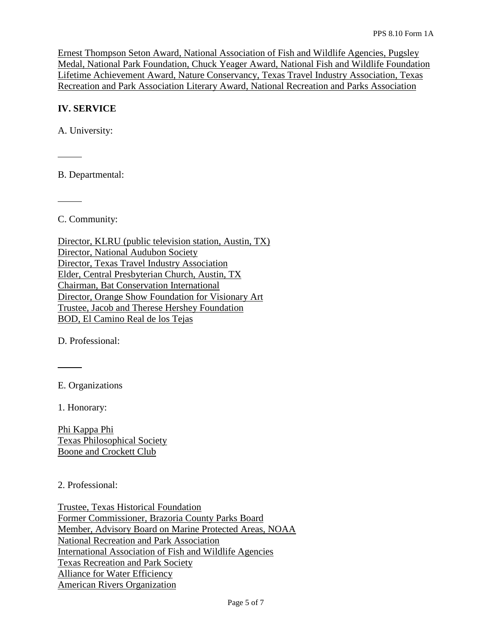Ernest Thompson Seton Award, National Association of Fish and Wildlife Agencies, Pugsley Medal, National Park Foundation, Chuck Yeager Award, National Fish and Wildlife Foundation Lifetime Achievement Award, Nature Conservancy, Texas Travel Industry Association, Texas Recreation and Park Association Literary Award, National Recreation and Parks Association

#### **IV. SERVICE**

A. University:

 $\overline{a}$ 

 $\overline{a}$ 

B. Departmental:

C. Community:

Director, KLRU (public television station, Austin, TX) Director, National Audubon Society Director, Texas Travel Industry Association Elder, Central Presbyterian Church, Austin, TX Chairman, Bat Conservation International Director, Orange Show Foundation for Visionary Art Trustee, Jacob and Therese Hershey Foundation BOD, El Camino Real de los Tejas

D. Professional:

E. Organizations

1. Honorary:

 $\overline{a}$ 

Phi Kappa Phi Texas Philosophical Society Boone and Crockett Club

2. Professional:

Trustee, Texas Historical Foundation Former Commissioner, Brazoria County Parks Board Member, Advisory Board on Marine Protected Areas, NOAA National Recreation and Park Association International Association of Fish and Wildlife Agencies Texas Recreation and Park Society Alliance for Water Efficiency American Rivers Organization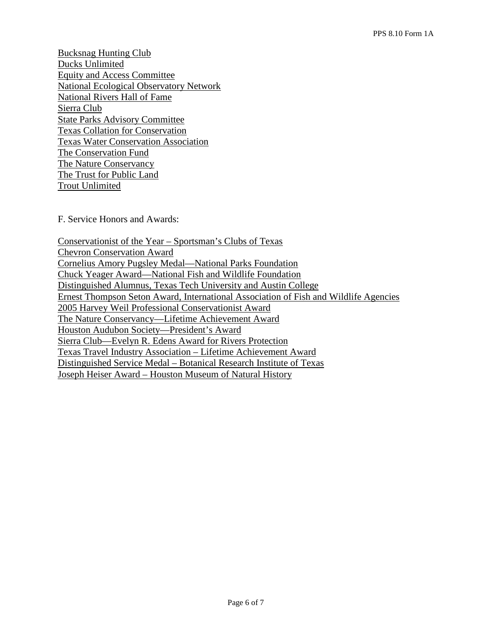Bucksnag Hunting Club Ducks Unlimited Equity and Access Committee National Ecological Observatory Network National Rivers Hall of Fame Sierra Club State Parks Advisory Committee Texas Collation for Conservation Texas Water Conservation Association The Conservation Fund The Nature Conservancy The Trust for Public Land Trout Unlimited

F. Service Honors and Awards:

Conservationist of the Year – Sportsman's Clubs of Texas Chevron Conservation Award Cornelius Amory Pugsley Medal—National Parks Foundation Chuck Yeager Award—National Fish and Wildlife Foundation Distinguished Alumnus, Texas Tech University and Austin College Ernest Thompson Seton Award, International Association of Fish and Wildlife Agencies 2005 Harvey Weil Professional Conservationist Award The Nature Conservancy—Lifetime Achievement Award Houston Audubon Society—President's Award Sierra Club—Evelyn R. Edens Award for Rivers Protection Texas Travel Industry Association – Lifetime Achievement Award Distinguished Service Medal – Botanical Research Institute of Texas Joseph Heiser Award – Houston Museum of Natural History